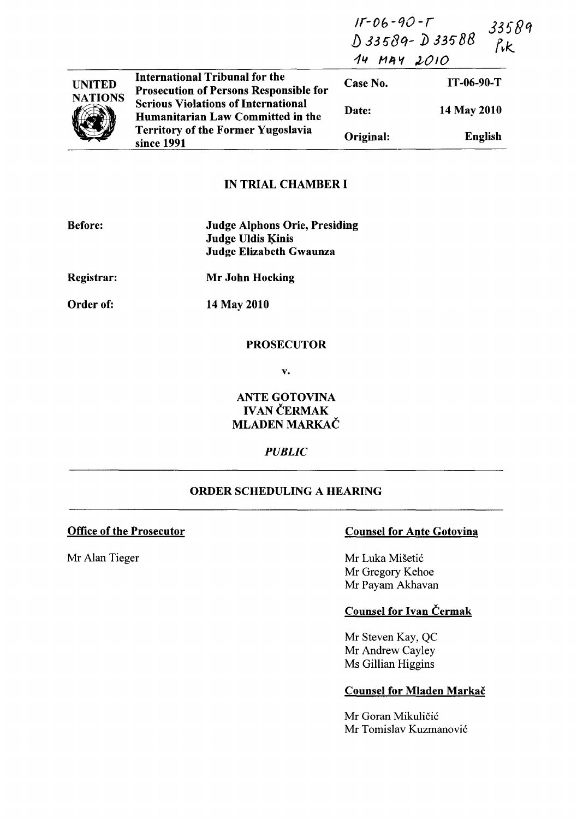|                |                                                                                                                                            | $11 - 06 - 90 - T$<br>14 MAY 2010 | 33589<br>$D33589 - D33588$<br>$P_{\mathsf{v}}$ |
|----------------|--------------------------------------------------------------------------------------------------------------------------------------------|-----------------------------------|------------------------------------------------|
| <b>UNITED</b>  | <b>International Tribunal for the</b><br><b>Prosecution of Persons Responsible for</b>                                                     | Case No.                          | $IT-06-90-T$                                   |
| <b>NATIONS</b> | <b>Serious Violations of International</b><br>Humanitarian Law Committed in the<br><b>Territory of the Former Yugoslavia</b><br>since 1991 | Date:                             | 14 May 2010                                    |
|                |                                                                                                                                            | Original:                         | English                                        |
|                |                                                                                                                                            |                                   |                                                |

## IN TRIAL CHAMBER I

| <b>Before:</b> | <b>Judge Alphons Orie, Presiding</b><br><b>Judge Uldis Kinis</b><br>Judge Elizabeth Gwaunza |
|----------------|---------------------------------------------------------------------------------------------|
| Registrar:     | Mr John Hocking                                                                             |
| Order of:      | 14 May 2010                                                                                 |

### **PROSECUTOR**

v.

ANTE GOTOVINA IVAN ČERMAK **MLADEN MARKAČ** 

## *PUBLIC*

## ORDER SCHEDULING A HEARING

# Office of the Prosecutor Counsel for Ante Gotovina

Mr Alan Tieger Mr Luka Mišetić Mr Gregory Kehoe Mr Payam Akhavan

# Counsel for Ivan Čermak

Mr Steven Kay, QC Mr Andrew Cayley Ms Gillian Higgins

### Counsel for Mladen Markač

Mr Goran Mikuličić Mr Tomislav Kuzmanović